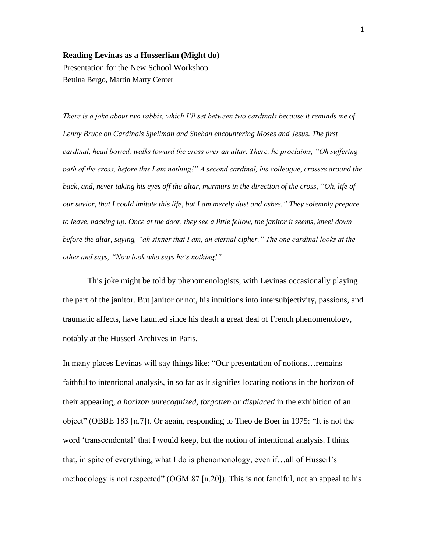## **Reading Levinas as a Husserlian (Might do)**

Presentation for the New School Workshop Bettina Bergo, Martin Marty Center

*There is a joke about two rabbis, which I'll set between two cardinals because it reminds me of Lenny Bruce on Cardinals Spellman and Shehan encountering Moses and Jesus. The first cardinal, head bowed, walks toward the cross over an altar. There, he proclaims, "Oh suffering path of the cross, before this I am nothing!" A second cardinal, his colleague, crosses around the back, and, never taking his eyes off the altar, murmurs in the direction of the cross, "Oh, life of our savior, that I could imitate this life, but I am merely dust and ashes." They solemnly prepare to leave, backing up. Once at the door, they see a little fellow, the janitor it seems, kneel down before the altar, saying, "ah sinner that I am, an eternal cipher." The one cardinal looks at the other and says, "Now look who says he's nothing!"*

This joke might be told by phenomenologists, with Levinas occasionally playing the part of the janitor. But janitor or not, his intuitions into intersubjectivity, passions, and traumatic affects, have haunted since his death a great deal of French phenomenology, notably at the Husserl Archives in Paris.

In many places Levinas will say things like: "Our presentation of notions…remains faithful to intentional analysis, in so far as it signifies locating notions in the horizon of their appearing, *a horizon unrecognized, forgotten or displaced* in the exhibition of an object" (OBBE 183 [n.7]). Or again, responding to Theo de Boer in 1975: "It is not the word 'transcendental' that I would keep, but the notion of intentional analysis. I think that, in spite of everything, what I do is phenomenology, even if…all of Husserl's methodology is not respected" (OGM 87 [n.20]). This is not fanciful, not an appeal to his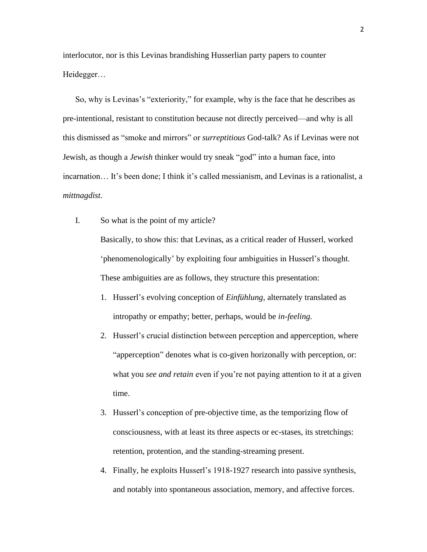interlocutor, nor is this Levinas brandishing Husserlian party papers to counter Heidegger…

So, why is Levinas's "exteriority," for example, why is the face that he describes as pre-intentional, resistant to constitution because not directly perceived—and why is all this dismissed as "smoke and mirrors" or *surreptitious* God-talk? As if Levinas were not Jewish, as though a *Jewish* thinker would try sneak "god" into a human face, into incarnation… It's been done; I think it's called messianism, and Levinas is a rationalist, a *mittnagdist*.

- I. So what is the point of my article? Basically, to show this: that Levinas, as a critical reader of Husserl, worked 'phenomenologically' by exploiting four ambiguities in Husserl's thought. These ambiguities are as follows, they structure this presentation:
	- 1. Husserl's evolving conception of *Einfühlung*, alternately translated as intropathy or empathy; better, perhaps, would be *in-feeling.*
	- 2. Husserl's crucial distinction between perception and apperception, where "apperception" denotes what is co-given horizonally with perception, or: what you *see and retain* even if you're not paying attention to it at a given time.
	- 3. Husserl's conception of pre-objective time, as the temporizing flow of consciousness, with at least its three aspects or ec-stases, its stretchings: retention, protention, and the standing-streaming present.
	- 4. Finally, he exploits Husserl's 1918-1927 research into passive synthesis, and notably into spontaneous association, memory, and affective forces.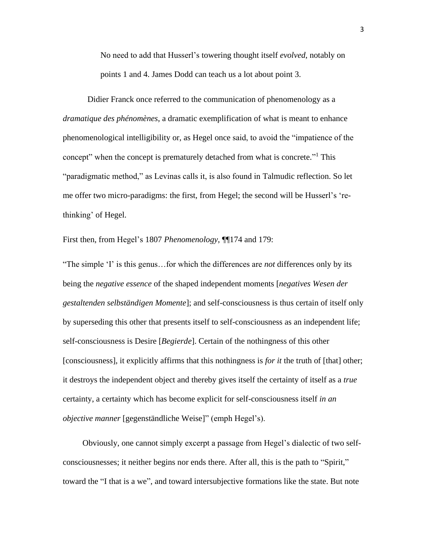No need to add that Husserl's towering thought itself *evolved*, notably on points 1 and 4. James Dodd can teach us a lot about point 3.

Didier Franck once referred to the communication of phenomenology as a *dramatique des phénomènes*, a dramatic exemplification of what is meant to enhance phenomenological intelligibility or, as Hegel once said, to avoid the "impatience of the concept" when the concept is prematurely detached from what is concrete."<sup>1</sup> This "paradigmatic method," as Levinas calls it, is also found in Talmudic reflection. So let me offer two micro-paradigms: the first, from Hegel; the second will be Husserl's 'rethinking' of Hegel.

First then, from Hegel's 1807 *Phenomenology*, ¶¶174 and 179:

"The simple 'I' is this genus…for which the differences are *not* differences only by its being the *negative essence* of the shaped independent moments [*negatives Wesen der gestaltenden selbständigen Momente*]; and self-consciousness is thus certain of itself only by superseding this other that presents itself to self-consciousness as an independent life; self-consciousness is Desire [*Begierde*]. Certain of the nothingness of this other [consciousness], it explicitly affirms that this nothingness is *for it* the truth of [that] other; it destroys the independent object and thereby gives itself the certainty of itself as a *true* certainty, a certainty which has become explicit for self-consciousness itself *in an objective manner* [gegenständliche Weise]" (emph Hegel's).

Obviously, one cannot simply excerpt a passage from Hegel's dialectic of two selfconsciousnesses; it neither begins nor ends there. After all, this is the path to "Spirit," toward the "I that is a we", and toward intersubjective formations like the state. But note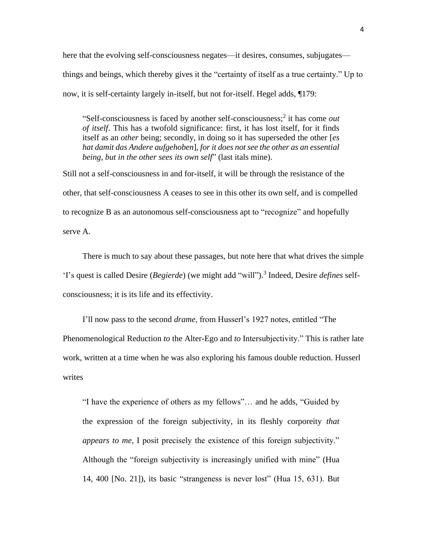here that the evolving self-consciousness negates—it desires, consumes, subjugates things and beings, which thereby gives it the "certainty of itself as a true certainty." Up to now, it is self-certainty largely in-itself, but not for-itself. Hegel adds, ¶179:

"Self-consciousness is faced by another self-consciousness;<sup>2</sup> it has come *out of itself*. This has a twofold significance: first, it has lost itself, for it finds itself as an *other* being; secondly, in doing so it has superseded the other [*es hat damit das Andere aufgehoben*], *for it does not see the other as an essential being, but in the other sees its own self*" (last itals mine).

Still not a self-consciousness in and for-itself, it will be through the resistance of the other, that self-consciousness A ceases to see in this other its own self, and is compelled to recognize B as an autonomous self-consciousness apt to "recognize" and hopefully serve A.

There is much to say about these passages, but note here that what drives the simple 'I's quest is called Desire (*Begierde*) (we might add "will"). 3 Indeed, Desire *defines* selfconsciousness; it is its life and its effectivity.

I'll now pass to the second *drame*, from Husserl's 1927 notes, entitled "The Phenomenological Reduction *to* the Alter-Ego and *to* Intersubjectivity." This is rather late work, written at a time when he was also exploring his famous double reduction. Husserl writes

"I have the experience of others as my fellows"… and he adds, "Guided by the expression of the foreign subjectivity, in its fleshly corporeity *that appears to me*, I posit precisely the existence of this foreign subjectivity." Although the "foreign subjectivity is increasingly unified with mine" (Hua 14, 400 [No. 21]), its basic "strangeness is never lost" (Hua 15, 631). But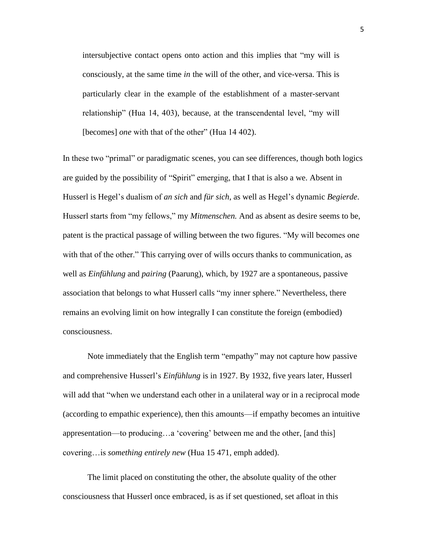intersubjective contact opens onto action and this implies that "my will is consciously, at the same time *in* the will of the other, and vice-versa. This is particularly clear in the example of the establishment of a master-servant relationship" (Hua 14, 403), because, at the transcendental level, "my will [becomes] *one* with that of the other" (Hua 14 402).

In these two "primal" or paradigmatic scenes, you can see differences, though both logics are guided by the possibility of "Spirit" emerging, that I that is also a we. Absent in Husserl is Hegel's dualism of *an sich* and *für sich*, as well as Hegel's dynamic *Begierde*. Husserl starts from "my fellows," my *Mitmenschen.* And as absent as desire seems to be, patent is the practical passage of willing between the two figures. "My will becomes one with that of the other." This carrying over of wills occurs thanks to communication, as well as *Einfühlung* and *pairing* (Paarung), which, by 1927 are a spontaneous, passive association that belongs to what Husserl calls "my inner sphere." Nevertheless, there remains an evolving limit on how integrally I can constitute the foreign (embodied) consciousness.

Note immediately that the English term "empathy" may not capture how passive and comprehensive Husserl's *Einfühlung* is in 1927. By 1932, five years later, Husserl will add that "when we understand each other in a unilateral way or in a reciprocal mode (according to empathic experience), then this amounts—if empathy becomes an intuitive appresentation—to producing…a 'covering' between me and the other, [and this] covering…is *something entirely new* (Hua 15 471, emph added).

The limit placed on constituting the other, the absolute quality of the other consciousness that Husserl once embraced, is as if set questioned, set afloat in this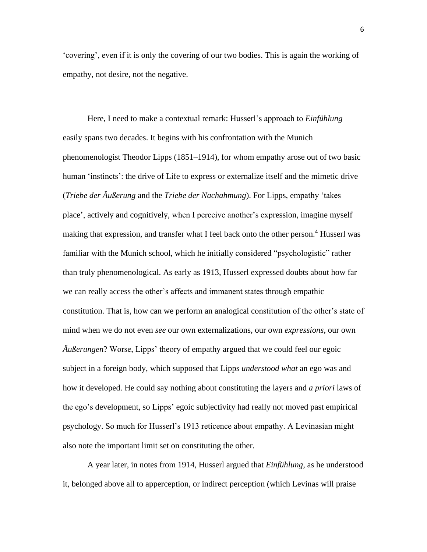'covering', even if it is only the covering of our two bodies. This is again the working of empathy, not desire, not the negative.

Here, I need to make a contextual remark: Husserl's approach to *Einfühlung*  easily spans two decades. It begins with his confrontation with the Munich phenomenologist Theodor Lipps (1851–1914), for whom empathy arose out of two basic human 'instincts': the drive of Life to express or externalize itself and the mimetic drive (*Triebe der Äußerung* and the *Triebe der Nachahmung*). For Lipps, empathy 'takes place', actively and cognitively, when I perceive another's expression, imagine myself making that expression, and transfer what I feel back onto the other person.<sup>4</sup> Husserl was familiar with the Munich school, which he initially considered "psychologistic" rather than truly phenomenological. As early as 1913, Husserl expressed doubts about how far we can really access the other's affects and immanent states through empathic constitution. That is, how can we perform an analogical constitution of the other's state of mind when we do not even *see* our own externalizations, our own *expressions*, our own *Äußerungen*? Worse, Lipps' theory of empathy argued that we could feel our egoic subject in a foreign body, which supposed that Lipps *understood what* an ego was and how it developed. He could say nothing about constituting the layers and *a priori* laws of the ego's development, so Lipps' egoic subjectivity had really not moved past empirical psychology. So much for Husserl's 1913 reticence about empathy. A Levinasian might also note the important limit set on constituting the other.

A year later, in notes from 1914, Husserl argued that *Einfühlung*, as he understood it, belonged above all to apperception, or indirect perception (which Levinas will praise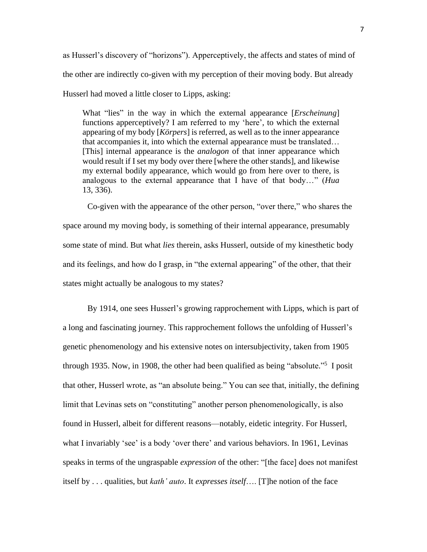as Husserl's discovery of "horizons"). Apperceptively, the affects and states of mind of the other are indirectly co-given with my perception of their moving body. But already Husserl had moved a little closer to Lipps, asking:

What "lies" in the way in which the external appearance [*Erscheinung*] functions apperceptively? I am referred to my 'here', to which the external appearing of my body [*Körpers*] is referred, as well as to the inner appearance that accompanies it, into which the external appearance must be translated… [This] internal appearance is the *analogon* of that inner appearance which would result if I set my body over there [where the other stands], and likewise my external bodily appearance, which would go from here over to there, is analogous to the external appearance that I have of that body…" (*Hua*  13, 336).

Co-given with the appearance of the other person, "over there," who shares the space around my moving body, is something of their internal appearance, presumably some state of mind. But what *lies* therein, asks Husserl, outside of my kinesthetic body and its feelings, and how do I grasp, in "the external appearing" of the other, that their states might actually be analogous to my states?

By 1914, one sees Husserl's growing rapprochement with Lipps, which is part of a long and fascinating journey. This rapprochement follows the unfolding of Husserl's genetic phenomenology and his extensive notes on intersubjectivity, taken from 1905 through 1935. Now, in 1908, the other had been qualified as being "absolute."<sup>5</sup> I posit that other, Husserl wrote, as "an absolute being." You can see that, initially, the defining limit that Levinas sets on "constituting" another person phenomenologically, is also found in Husserl, albeit for different reasons—notably, eidetic integrity. For Husserl, what I invariably 'see' is a body 'over there' and various behaviors. In 1961, Levinas speaks in terms of the ungraspable *expression* of the other: "[the face] does not manifest itself by . . . qualities, but *kath' auto*. It *expresses itself*…. [T]he notion of the face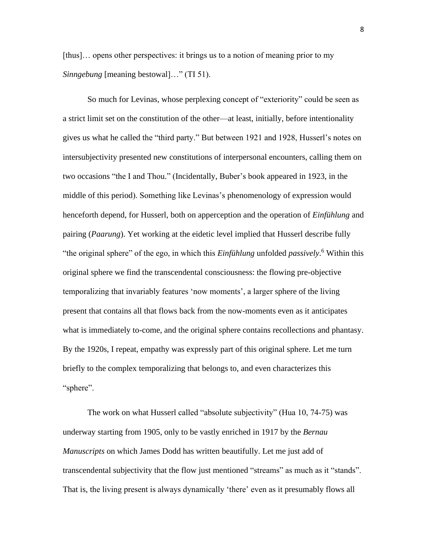[thus]… opens other perspectives: it brings us to a notion of meaning prior to my *Sinngebung* [meaning bestowal]…" (TI 51).

So much for Levinas, whose perplexing concept of "exteriority" could be seen as a strict limit set on the constitution of the other—at least, initially, before intentionality gives us what he called the "third party." But between 1921 and 1928, Husserl's notes on intersubjectivity presented new constitutions of interpersonal encounters, calling them on two occasions "the I and Thou." (Incidentally, Buber's book appeared in 1923, in the middle of this period). Something like Levinas's phenomenology of expression would henceforth depend, for Husserl, both on apperception and the operation of *Einfühlung* and pairing (*Paarung*). Yet working at the eidetic level implied that Husserl describe fully "the original sphere" of the ego, in which this *Einfühlung* unfolded *passively*. <sup>6</sup> Within this original sphere we find the transcendental consciousness: the flowing pre-objective temporalizing that invariably features 'now moments', a larger sphere of the living present that contains all that flows back from the now-moments even as it anticipates what is immediately to-come, and the original sphere contains recollections and phantasy. By the 1920s, I repeat, empathy was expressly part of this original sphere. Let me turn briefly to the complex temporalizing that belongs to, and even characterizes this "sphere".

The work on what Husserl called "absolute subjectivity" (Hua 10, 74-75) was underway starting from 1905, only to be vastly enriched in 1917 by the *Bernau Manuscripts* on which James Dodd has written beautifully. Let me just add of transcendental subjectivity that the flow just mentioned "streams" as much as it "stands". That is, the living present is always dynamically 'there' even as it presumably flows all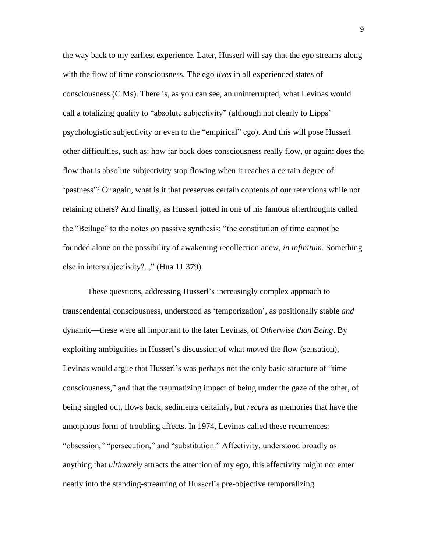the way back to my earliest experience. Later, Husserl will say that the *ego* streams along with the flow of time consciousness. The ego *lives* in all experienced states of consciousness (C Ms). There is, as you can see, an uninterrupted, what Levinas would call a totalizing quality to "absolute subjectivity" (although not clearly to Lipps' psychologistic subjectivity or even to the "empirical" ego). And this will pose Husserl other difficulties, such as: how far back does consciousness really flow, or again: does the flow that is absolute subjectivity stop flowing when it reaches a certain degree of 'pastness'? Or again, what is it that preserves certain contents of our retentions while not retaining others? And finally, as Husserl jotted in one of his famous afterthoughts called the "Beilage" to the notes on passive synthesis: "the constitution of time cannot be founded alone on the possibility of awakening recollection anew, *in infinitum*. Something else in intersubjectivity?..," (Hua 11 379).

These questions, addressing Husserl's increasingly complex approach to transcendental consciousness, understood as 'temporization', as positionally stable *and*  dynamic—these were all important to the later Levinas, of *Otherwise than Being*. By exploiting ambiguities in Husserl's discussion of what *moved* the flow (sensation), Levinas would argue that Husserl's was perhaps not the only basic structure of "time consciousness," and that the traumatizing impact of being under the gaze of the other, of being singled out, flows back, sediments certainly, but *recurs* as memories that have the amorphous form of troubling affects. In 1974, Levinas called these recurrences: "obsession," "persecution," and "substitution." Affectivity, understood broadly as anything that *ultimately* attracts the attention of my ego, this affectivity might not enter neatly into the standing-streaming of Husserl's pre-objective temporalizing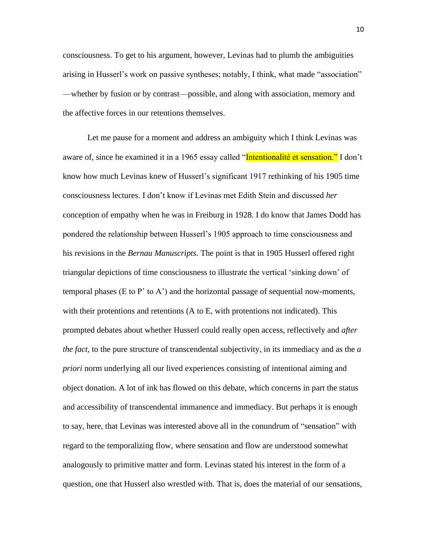consciousness. To get to his argument, however, Levinas had to plumb the ambiguities arising in Husserl's work on passive syntheses; notably, I think, what made "association" —whether by fusion or by contrast—possible, and along with association, memory and the affective forces in our retentions themselves.

Let me pause for a moment and address an ambiguity which I think Levinas was aware of, since he examined it in a 1965 essay called "Intentionalité et sensation." I don't know how much Levinas knew of Husserl's significant 1917 rethinking of his 1905 time consciousness lectures. I don't know if Levinas met Edith Stein and discussed *her* conception of empathy when he was in Freiburg in 1928. I do know that James Dodd has pondered the relationship between Husserl's 1905 approach to time consciousness and his revisions in the *Bernau Manuscripts.* The point is that in 1905 Husserl offered right triangular depictions of time consciousness to illustrate the vertical 'sinking down' of temporal phases (E to P' to A') and the horizontal passage of sequential now-moments, with their protentions and retentions (A to E, with protentions not indicated). This prompted debates about whether Husserl could really open access, reflectively and *after the fact,* to the pure structure of transcendental subjectivity, in its immediacy and as the *a priori* norm underlying all our lived experiences consisting of intentional aiming and object donation. A lot of ink has flowed on this debate, which concerns in part the status and accessibility of transcendental immanence and immediacy. But perhaps it is enough to say, here, that Levinas was interested above all in the conundrum of "sensation" with regard to the temporalizing flow, where sensation and flow are understood somewhat analogously to primitive matter and form. Levinas stated his interest in the form of a question, one that Husserl also wrestled with. That is, does the material of our sensations,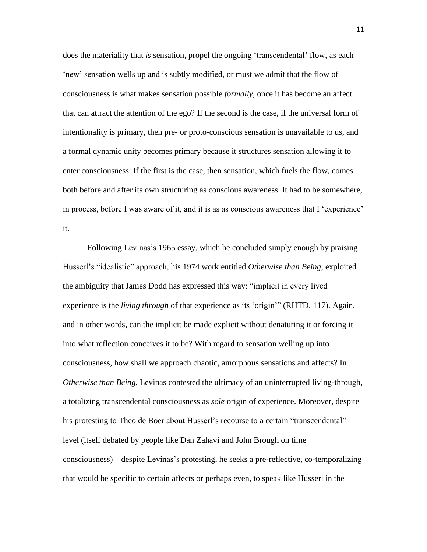does the materiality that *is* sensation, propel the ongoing 'transcendental' flow, as each 'new' sensation wells up and is subtly modified, or must we admit that the flow of consciousness is what makes sensation possible *formally*, once it has become an affect that can attract the attention of the ego? If the second is the case, if the universal form of intentionality is primary, then pre- or proto-conscious sensation is unavailable to us, and a formal dynamic unity becomes primary because it structures sensation allowing it to enter consciousness. If the first is the case, then sensation, which fuels the flow, comes both before and after its own structuring as conscious awareness. It had to be somewhere, in process, before I was aware of it, and it is as as conscious awareness that I 'experience' it.

Following Levinas's 1965 essay, which he concluded simply enough by praising Husserl's "idealistic" approach, his 1974 work entitled *Otherwise than Being,* exploited the ambiguity that James Dodd has expressed this way: "implicit in every lived experience is the *living through* of that experience as its 'origin'" (RHTD, 117). Again, and in other words, can the implicit be made explicit without denaturing it or forcing it into what reflection conceives it to be? With regard to sensation welling up into consciousness, how shall we approach chaotic, amorphous sensations and affects? In *Otherwise than Being*, Levinas contested the ultimacy of an uninterrupted living-through, a totalizing transcendental consciousness as *sole* origin of experience. Moreover, despite his protesting to Theo de Boer about Husserl's recourse to a certain "transcendental" level (itself debated by people like Dan Zahavi and John Brough on time consciousness)—despite Levinas's protesting, he seeks a pre-reflective, co-temporalizing that would be specific to certain affects or perhaps even, to speak like Husserl in the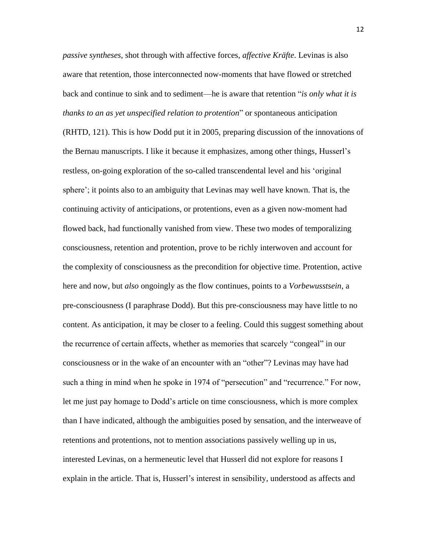*passive syntheses*, shot through with affective forces, *affective Kräfte*. Levinas is also aware that retention, those interconnected now-moments that have flowed or stretched back and continue to sink and to sediment—he is aware that retention "*is only what it is thanks to an as yet unspecified relation to protention*" or spontaneous anticipation (RHTD, 121). This is how Dodd put it in 2005, preparing discussion of the innovations of the Bernau manuscripts. I like it because it emphasizes, among other things, Husserl's restless, on-going exploration of the so-called transcendental level and his 'original sphere'; it points also to an ambiguity that Levinas may well have known. That is, the continuing activity of anticipations, or protentions, even as a given now-moment had flowed back, had functionally vanished from view. These two modes of temporalizing consciousness, retention and protention, prove to be richly interwoven and account for the complexity of consciousness as the precondition for objective time. Protention, active here and now, but *also* ongoingly as the flow continues, points to a *Vorbewusstsein*, a pre-consciousness (I paraphrase Dodd). But this pre-consciousness may have little to no content. As anticipation, it may be closer to a feeling. Could this suggest something about the recurrence of certain affects, whether as memories that scarcely "congeal" in our consciousness or in the wake of an encounter with an "other"? Levinas may have had such a thing in mind when he spoke in 1974 of "persecution" and "recurrence." For now, let me just pay homage to Dodd's article on time consciousness, which is more complex than I have indicated, although the ambiguities posed by sensation, and the interweave of retentions and protentions, not to mention associations passively welling up in us, interested Levinas, on a hermeneutic level that Husserl did not explore for reasons I explain in the article. That is, Husserl's interest in sensibility, understood as affects and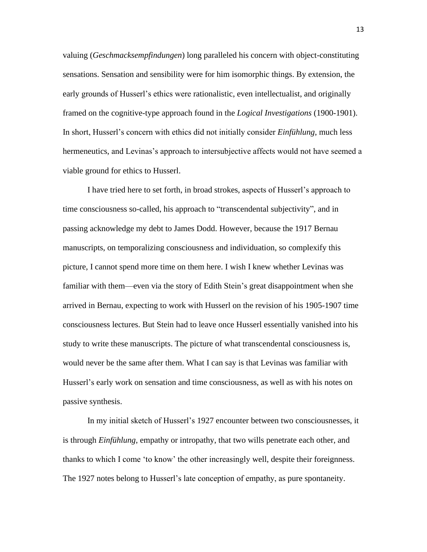valuing (*Geschmacksempfindungen*) long paralleled his concern with object-constituting sensations. Sensation and sensibility were for him isomorphic things. By extension, the early grounds of Husserl's ethics were rationalistic, even intellectualist, and originally framed on the cognitive-type approach found in the *Logical Investigations* (1900-1901). In short, Husserl's concern with ethics did not initially consider *Einfühlung*, much less hermeneutics, and Levinas's approach to intersubjective affects would not have seemed a viable ground for ethics to Husserl.

I have tried here to set forth, in broad strokes, aspects of Husserl's approach to time consciousness so-called, his approach to "transcendental subjectivity", and in passing acknowledge my debt to James Dodd. However, because the 1917 Bernau manuscripts, on temporalizing consciousness and individuation, so complexify this picture, I cannot spend more time on them here. I wish I knew whether Levinas was familiar with them—even via the story of Edith Stein's great disappointment when she arrived in Bernau, expecting to work with Husserl on the revision of his 1905-1907 time consciousness lectures. But Stein had to leave once Husserl essentially vanished into his study to write these manuscripts. The picture of what transcendental consciousness is, would never be the same after them. What I can say is that Levinas was familiar with Husserl's early work on sensation and time consciousness, as well as with his notes on passive synthesis.

In my initial sketch of Husserl's 1927 encounter between two consciousnesses, it is through *Einfühlung*, empathy or intropathy, that two wills penetrate each other, and thanks to which I come 'to know' the other increasingly well, despite their foreignness. The 1927 notes belong to Husserl's late conception of empathy, as pure spontaneity.

13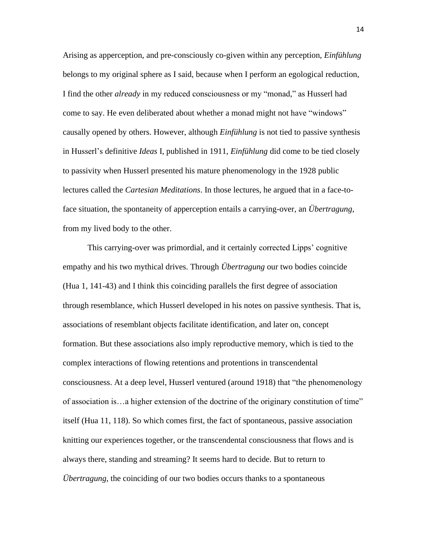Arising as apperception, and pre-consciously co-given within any perception, *Einfühlung*  belongs to my original sphere as I said, because when I perform an egological reduction, I find the other *already* in my reduced consciousness or my "monad," as Husserl had come to say. He even deliberated about whether a monad might not have "windows" causally opened by others. However, although *Einfühlung* is not tied to passive synthesis in Husserl's definitive *Ideas* I, published in 1911, *Einfühlung* did come to be tied closely to passivity when Husserl presented his mature phenomenology in the 1928 public lectures called the *Cartesian Meditations*. In those lectures, he argued that in a face-toface situation, the spontaneity of apperception entails a carrying-over, an *Übertragung*, from my lived body to the other.

This carrying-over was primordial, and it certainly corrected Lipps' cognitive empathy and his two mythical drives. Through *Übertragung* our two bodies coincide (Hua 1, 141-43) and I think this coinciding parallels the first degree of association through resemblance, which Husserl developed in his notes on passive synthesis. That is, associations of resemblant objects facilitate identification, and later on, concept formation. But these associations also imply reproductive memory, which is tied to the complex interactions of flowing retentions and protentions in transcendental consciousness. At a deep level, Husserl ventured (around 1918) that "the phenomenology of association is…a higher extension of the doctrine of the originary constitution of time" itself (Hua 11, 118). So which comes first, the fact of spontaneous, passive association knitting our experiences together, or the transcendental consciousness that flows and is always there, standing and streaming? It seems hard to decide. But to return to *Übertragung*, the coinciding of our two bodies occurs thanks to a spontaneous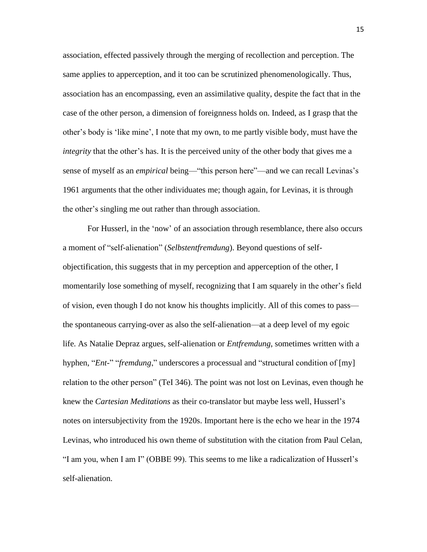association, effected passively through the merging of recollection and perception. The same applies to apperception, and it too can be scrutinized phenomenologically. Thus, association has an encompassing, even an assimilative quality, despite the fact that in the case of the other person, a dimension of foreignness holds on. Indeed, as I grasp that the other's body is 'like mine', I note that my own, to me partly visible body, must have the *integrity* that the other's has. It is the perceived unity of the other body that gives me a sense of myself as an *empirical* being—"this person here"—and we can recall Levinas's 1961 arguments that the other individuates me; though again, for Levinas, it is through the other's singling me out rather than through association.

For Husserl, in the 'now' of an association through resemblance, there also occurs a moment of "self-alienation" (*Selbstentfremdung*). Beyond questions of selfobjectification, this suggests that in my perception and apperception of the other, I momentarily lose something of myself, recognizing that I am squarely in the other's field of vision, even though I do not know his thoughts implicitly. All of this comes to pass the spontaneous carrying-over as also the self-alienation—at a deep level of my egoic life. As Natalie Depraz argues, self-alienation or *Entfremdung*, sometimes written with a hyphen, "*Ent-*" "*fremdung*," underscores a processual and "structural condition of [my] relation to the other person" (TeI 346). The point was not lost on Levinas, even though he knew the *Cartesian Meditations* as their co-translator but maybe less well, Husserl's notes on intersubjectivity from the 1920s. Important here is the echo we hear in the 1974 Levinas, who introduced his own theme of substitution with the citation from Paul Celan, "I am you, when I am I" (OBBE 99). This seems to me like a radicalization of Husserl's self-alienation.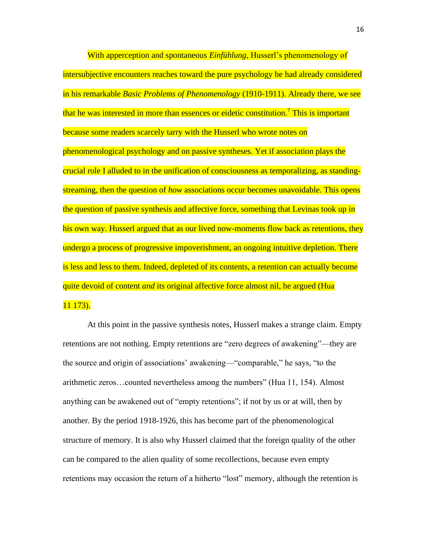With apperception and spontaneous *Einfühlung*, Husserl's phenomenology of intersubjective encounters reaches toward the pure psychology he had already considered in his remarkable *Basic Problems of Phenomenology* (1910-1911). Already there, we see that he was interested in more than essences or eidetic constitution.<sup>7</sup> This is important because some readers scarcely tarry with the Husserl who wrote notes on phenomenological psychology and on passive syntheses. Yet if association plays the crucial role I alluded to in the unification of consciousness as temporalizing, as standingstreaming, then the question of *how* associations occur becomes unavoidable. This opens the question of passive synthesis and affective force, something that Levinas took up in his own way. Husserl argued that as our lived now-moments flow back as retentions, they undergo a process of progressive impoverishment, an ongoing intuitive depletion. There is less and less to them. Indeed, depleted of its contents, a retention can actually become quite devoid of content *and* its original affective force almost nil, he argued (Hua 11 173).

At this point in the passive synthesis notes, Husserl makes a strange claim. Empty retentions are not nothing. Empty retentions are "zero degrees of awakening"—they are the source and origin of associations' awakening—"comparable," he says, "to the arithmetic zeros…counted nevertheless among the numbers" (Hua 11, 154). Almost anything can be awakened out of "empty retentions"; if not by us or at will, then by another. By the period 1918-1926, this has become part of the phenomenological structure of memory. It is also why Husserl claimed that the foreign quality of the other can be compared to the alien quality of some recollections, because even empty retentions may occasion the return of a hitherto "lost" memory, although the retention is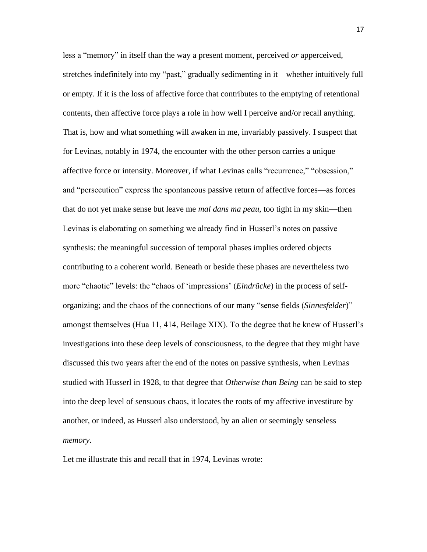less a "memory" in itself than the way a present moment, perceived *or* apperceived, stretches indefinitely into my "past," gradually sedimenting in it—whether intuitively full or empty. If it is the loss of affective force that contributes to the emptying of retentional contents, then affective force plays a role in how well I perceive and/or recall anything. That is, how and what something will awaken in me, invariably passively. I suspect that for Levinas, notably in 1974, the encounter with the other person carries a unique affective force or intensity. Moreover, if what Levinas calls "recurrence," "obsession," and "persecution" express the spontaneous passive return of affective forces—as forces that do not yet make sense but leave me *mal dans ma peau*, too tight in my skin—then Levinas is elaborating on something we already find in Husserl's notes on passive synthesis: the meaningful succession of temporal phases implies ordered objects contributing to a coherent world. Beneath or beside these phases are nevertheless two more "chaotic" levels: the "chaos of 'impressions' (*Eindrücke*) in the process of selforganizing; and the chaos of the connections of our many "sense fields (*Sinnesfelder*)" amongst themselves (Hua 11, 414, Beilage XIX). To the degree that he knew of Husserl's investigations into these deep levels of consciousness, to the degree that they might have discussed this two years after the end of the notes on passive synthesis, when Levinas studied with Husserl in 1928, to that degree that *Otherwise than Being* can be said to step into the deep level of sensuous chaos, it locates the roots of my affective investiture by another, or indeed, as Husserl also understood, by an alien or seemingly senseless *memory*.

Let me illustrate this and recall that in 1974, Levinas wrote: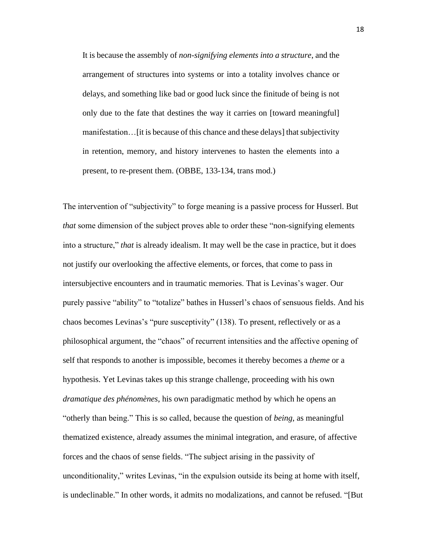It is because the assembly of *non-signifying elements into a structure*, and the arrangement of structures into systems or into a totality involves chance or delays, and something like bad or good luck since the finitude of being is not only due to the fate that destines the way it carries on [toward meaningful] manifestation…[it is because of this chance and these delays] that subjectivity in retention, memory, and history intervenes to hasten the elements into a present, to re-present them. (OBBE, 133-134, trans mod.)

The intervention of "subjectivity" to forge meaning is a passive process for Husserl. But *that* some dimension of the subject proves able to order these "non-signifying elements" into a structure," *that* is already idealism. It may well be the case in practice, but it does not justify our overlooking the affective elements, or forces, that come to pass in intersubjective encounters and in traumatic memories. That is Levinas's wager. Our purely passive "ability" to "totalize" bathes in Husserl's chaos of sensuous fields. And his chaos becomes Levinas's "pure susceptivity" (138). To present, reflectively or as a philosophical argument, the "chaos" of recurrent intensities and the affective opening of self that responds to another is impossible, becomes it thereby becomes a *theme* or a hypothesis. Yet Levinas takes up this strange challenge, proceeding with his own *dramatique des phénomènes*, his own paradigmatic method by which he opens an "otherly than being." This is so called, because the question of *being*, as meaningful thematized existence, already assumes the minimal integration, and erasure, of affective forces and the chaos of sense fields. "The subject arising in the passivity of unconditionality," writes Levinas, "in the expulsion outside its being at home with itself, is undeclinable." In other words, it admits no modalizations, and cannot be refused. "[But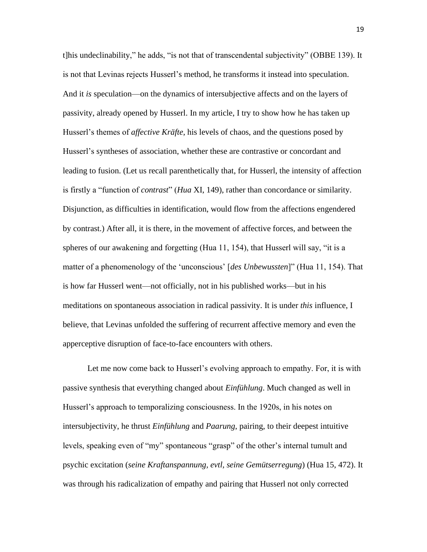t]his undeclinability," he adds, "is not that of transcendental subjectivity" (OBBE 139). It is not that Levinas rejects Husserl's method, he transforms it instead into speculation. And it *is* speculation—on the dynamics of intersubjective affects and on the layers of passivity, already opened by Husserl. In my article, I try to show how he has taken up Husserl's themes of *affective Kräfte*, his levels of chaos, and the questions posed by Husserl's syntheses of association, whether these are contrastive or concordant and leading to fusion. (Let us recall parenthetically that, for Husserl, the intensity of affection is firstly a "function of *contrast*" (*Hua* XI, 149), rather than concordance or similarity. Disjunction, as difficulties in identification, would flow from the affections engendered by contrast.) After all, it is there, in the movement of affective forces, and between the spheres of our awakening and forgetting (Hua 11, 154), that Husserl will say, "it is a matter of a phenomenology of the 'unconscious' [*des Unbewussten*]" (Hua 11, 154). That is how far Husserl went—not officially, not in his published works—but in his meditations on spontaneous association in radical passivity. It is under *this* influence, I believe, that Levinas unfolded the suffering of recurrent affective memory and even the apperceptive disruption of face-to-face encounters with others.

Let me now come back to Husserl's evolving approach to empathy. For, it is with passive synthesis that everything changed about *Einfühlung*. Much changed as well in Husserl's approach to temporalizing consciousness. In the 1920s, in his notes on intersubjectivity, he thrust *Einfühlung* and *Paarung*, pairing, to their deepest intuitive levels, speaking even of "my" spontaneous "grasp" of the other's internal tumult and psychic excitation (*seine Kraftanspannung, evtl, seine Gemütserregung*) (Hua 15, 472). It was through his radicalization of empathy and pairing that Husserl not only corrected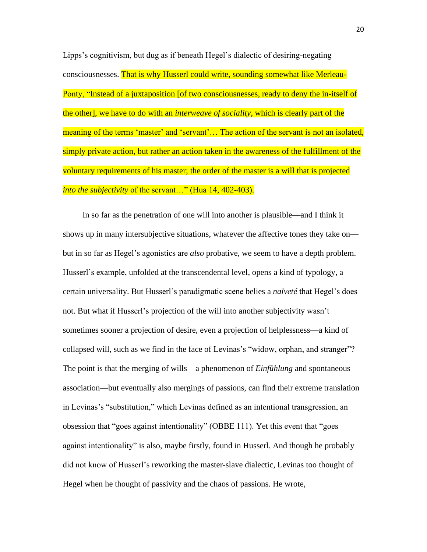Lipps's cognitivism, but dug as if beneath Hegel's dialectic of desiring-negating consciousnesses. That is why Husserl could write, sounding somewhat like Merleau-Ponty, "Instead of a juxtaposition [of two consciousnesses, ready to deny the in-itself of the other], we have to do with an *interweave of sociality*, which is clearly part of the meaning of the terms 'master' and 'servant'... The action of the servant is not an isolated, simply private action, but rather an action taken in the awareness of the fulfillment of the voluntary requirements of his master; the order of the master is a will that is projected *into the subjectivity* of the servant…" (Hua 14, 402-403).

In so far as the penetration of one will into another is plausible—and I think it shows up in many intersubjective situations, whatever the affective tones they take on but in so far as Hegel's agonistics are *also* probative, we seem to have a depth problem. Husserl's example, unfolded at the transcendental level, opens a kind of typology, a certain universality. But Husserl's paradigmatic scene belies a *naïveté* that Hegel's does not. But what if Husserl's projection of the will into another subjectivity wasn't sometimes sooner a projection of desire, even a projection of helplessness—a kind of collapsed will, such as we find in the face of Levinas's "widow, orphan, and stranger"? The point is that the merging of wills—a phenomenon of *Einfühlung* and spontaneous association—but eventually also mergings of passions, can find their extreme translation in Levinas's "substitution," which Levinas defined as an intentional transgression, an obsession that "goes against intentionality" (OBBE 111). Yet this event that "goes against intentionality" is also, maybe firstly, found in Husserl. And though he probably did not know of Husserl's reworking the master-slave dialectic, Levinas too thought of Hegel when he thought of passivity and the chaos of passions. He wrote,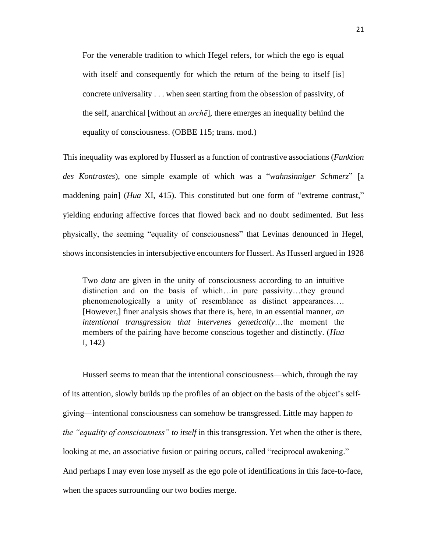For the venerable tradition to which Hegel refers, for which the ego is equal with itself and consequently for which the return of the being to itself [is] concrete universality . . . when seen starting from the obsession of passivity, of the self, anarchical [without an *archē*], there emerges an inequality behind the equality of consciousness. (OBBE 115; trans. mod.)

This inequality was explored by Husserl as a function of contrastive associations (*Funktion des Kontrastes*), one simple example of which was a "*wahnsinniger Schmerz*" [a maddening pain] (*Hua* XI, 415). This constituted but one form of "extreme contrast," yielding enduring affective forces that flowed back and no doubt sedimented. But less physically, the seeming "equality of consciousness" that Levinas denounced in Hegel, shows inconsistencies in intersubjective encounters for Husserl. As Husserl argued in 1928

Two *data* are given in the unity of consciousness according to an intuitive distinction and on the basis of which…in pure passivity…they ground phenomenologically a unity of resemblance as distinct appearances…. [However,] finer analysis shows that there is, here, in an essential manner, *an intentional transgression that intervenes genetically*…the moment the members of the pairing have become conscious together and distinctly. (*Hua* I, 142)

Husserl seems to mean that the intentional consciousness—which, through the ray of its attention, slowly builds up the profiles of an object on the basis of the object's selfgiving—intentional consciousness can somehow be transgressed. Little may happen *to the "equality of consciousness" to itself* in this transgression. Yet when the other is there, looking at me, an associative fusion or pairing occurs, called "reciprocal awakening." And perhaps I may even lose myself as the ego pole of identifications in this face-to-face, when the spaces surrounding our two bodies merge.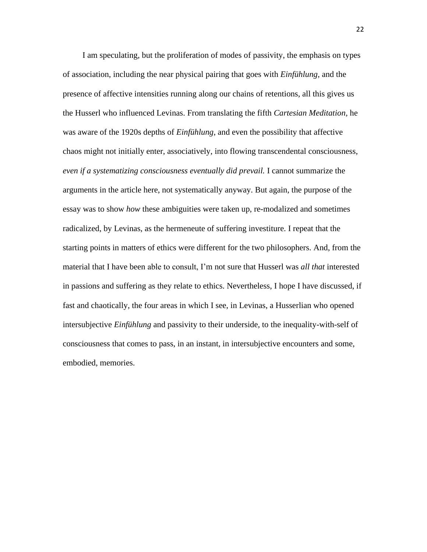I am speculating, but the proliferation of modes of passivity, the emphasis on types of association, including the near physical pairing that goes with *Einfühlung*, and the presence of affective intensities running along our chains of retentions, all this gives us the Husserl who influenced Levinas. From translating the fifth *Cartesian Meditation,* he was aware of the 1920s depths of *Einfühlung*, and even the possibility that affective chaos might not initially enter, associatively, into flowing transcendental consciousness, *even if a systematizing consciousness eventually did prevail.* I cannot summarize the arguments in the article here, not systematically anyway. But again, the purpose of the essay was to show *how* these ambiguities were taken up, re-modalized and sometimes radicalized, by Levinas, as the hermeneute of suffering investiture. I repeat that the starting points in matters of ethics were different for the two philosophers. And, from the material that I have been able to consult, I'm not sure that Husserl was *all that* interested in passions and suffering as they relate to ethics. Nevertheless, I hope I have discussed, if fast and chaotically, the four areas in which I see, in Levinas, a Husserlian who opened intersubjective *Einfühlung* and passivity to their underside, to the inequality-with-self of consciousness that comes to pass, in an instant, in intersubjective encounters and some, embodied, memories.